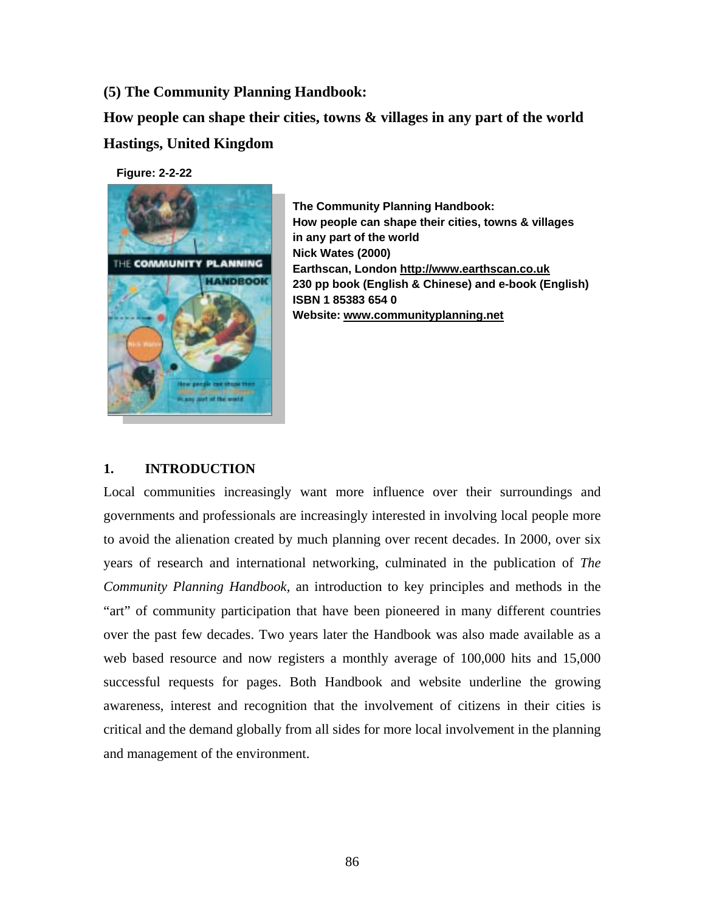**(5) The Community Planning Handbook:** 

**How people can shape their cities, towns & villages in any part of the world Hastings, United Kingdom**

**Figure: 2-2-22**



**The Community Planning Handbook: How people can shape their cities, towns & villages in any part of the world Nick Wates (2000) Earthscan, London http://www.earthscan.co.uk 230 pp book (English & Chinese) and e-book (English) ISBN 1 85383 654 0 Website: www.communityplanning.net**

## **1. INTRODUCTION**

Local communities increasingly want more influence over their surroundings and governments and professionals are increasingly interested in involving local people more to avoid the alienation created by much planning over recent decades. In 2000, over six years of research and international networking, culminated in the publication of *The Community Planning Handbook,* an introduction to key principles and methods in the "art" of community participation that have been pioneered in many different countries over the past few decades. Two years later the Handbook was also made available as a web based resource and now registers a monthly average of 100,000 hits and 15,000 successful requests for pages. Both Handbook and website underline the growing awareness, interest and recognition that the involvement of citizens in their cities is critical and the demand globally from all sides for more local involvement in the planning and management of the environment.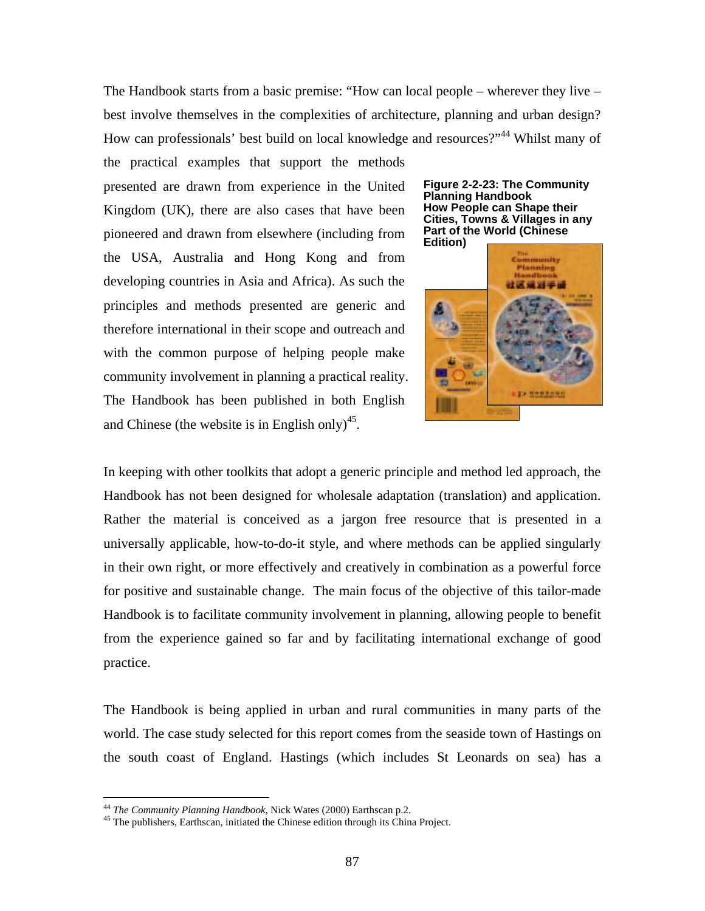The Handbook starts from a basic premise: "How can local people – wherever they live – best involve themselves in the complexities of architecture, planning and urban design? How can professionals' best build on local knowledge and resources?"<sup>44</sup> Whilst many of

the practical examples that support the methods presented are drawn from experience in the United Kingdom (UK), there are also cases that have been pioneered and drawn from elsewhere (including from the USA, Australia and Hong Kong and from developing countries in Asia and Africa). As such the principles and methods presented are generic and therefore international in their scope and outreach and with the common purpose of helping people make community involvement in planning a practical reality. The Handbook has been published in both English and Chinese (the website is in English only)<sup>45</sup>.





In keeping with other toolkits that adopt a generic principle and method led approach, the Handbook has not been designed for wholesale adaptation (translation) and application. Rather the material is conceived as a jargon free resource that is presented in a universally applicable, how-to-do-it style, and where methods can be applied singularly in their own right, or more effectively and creatively in combination as a powerful force for positive and sustainable change. The main focus of the objective of this tailor-made Handbook is to facilitate community involvement in planning, allowing people to benefit from the experience gained so far and by facilitating international exchange of good practice.

The Handbook is being applied in urban and rural communities in many parts of the world. The case study selected for this report comes from the seaside town of Hastings on the south coast of England. Hastings (which includes St Leonards on sea) has a

<sup>&</sup>lt;sup>44</sup> The Community Planning Handbook, Nick Wates (2000) Earthscan p.2.

<sup>&</sup>lt;sup>45</sup> The publishers, Earthscan, initiated the Chinese edition through its China Project.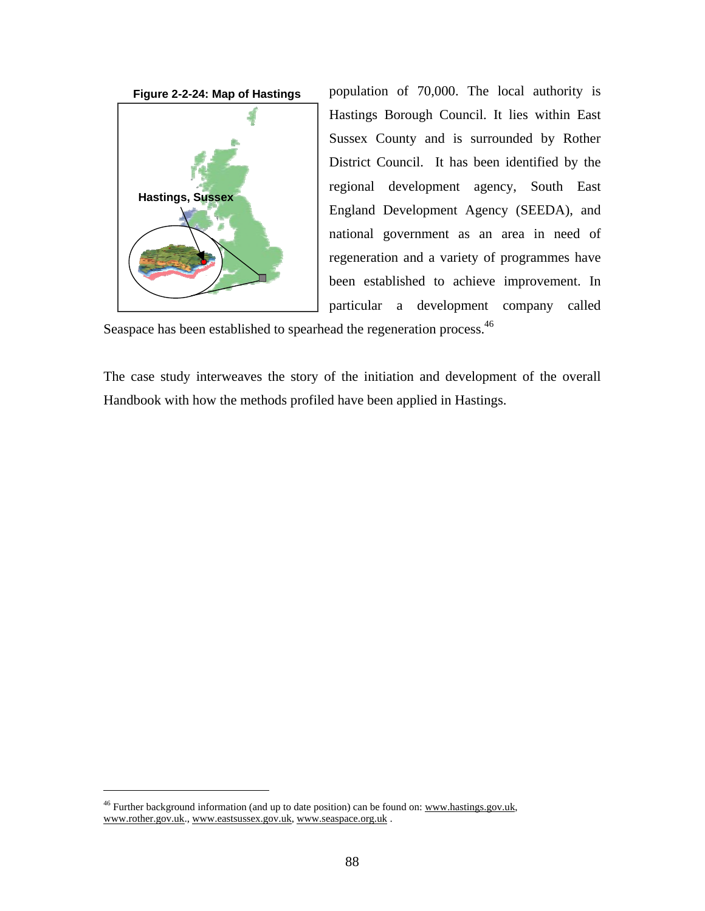



population of 70,000. The local authority is Hastings Borough Council. It lies within East Sussex County and is surrounded by Rother District Council. It has been identified by the regional development agency, South East England Development Agency (SEEDA), and national government as an area in need of regeneration and a variety of programmes have been established to achieve improvement. In particular a development company called

Seaspace has been established to spearhead the regeneration process.<sup>46</sup>

The case study interweaves the story of the initiation and development of the overall Handbook with how the methods profiled have been applied in Hastings.

 $46$  Further background information (and up to date position) can be found on: www.hastings.gov.uk, www.rother.gov.uk., www.eastsussex.gov.uk, www.seaspace.org.uk .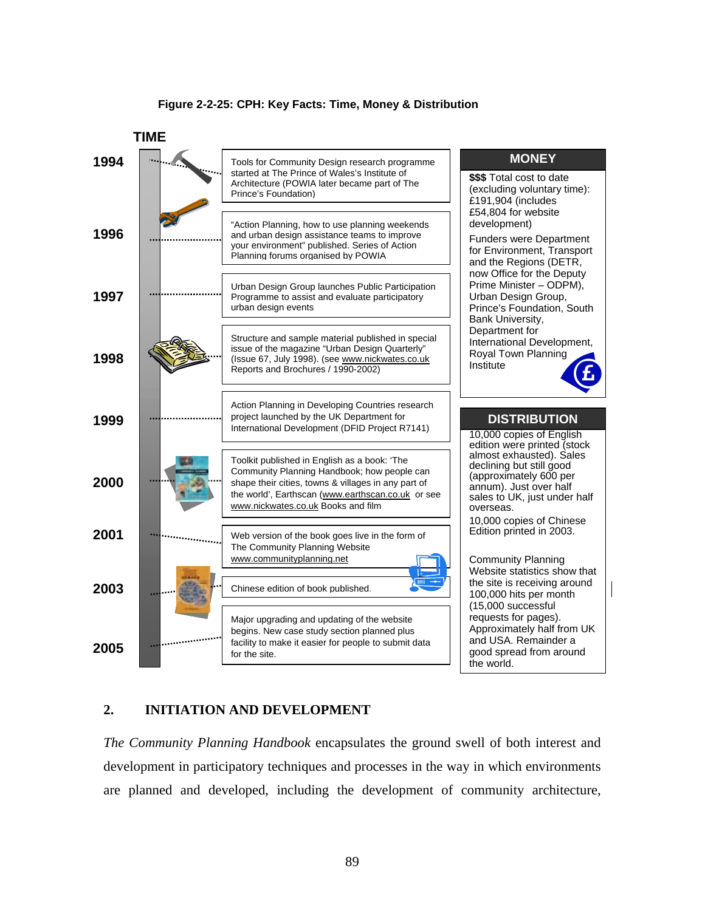#### **Figure 2-2-25: CPH: Key Facts: Time, Money & Distribution**



### **2. INITIATION AND DEVELOPMENT**

*The Community Planning Handbook* encapsulates the ground swell of both interest and development in participatory techniques and processes in the way in which environments are planned and developed, including the development of community architecture,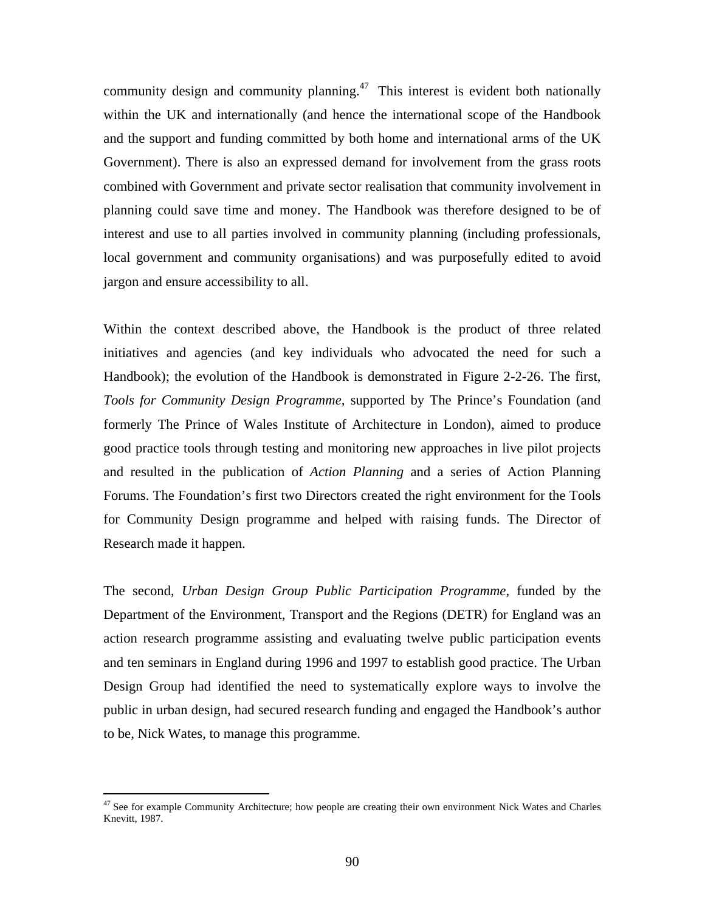community design and community planning.<sup>47</sup> This interest is evident both nationally within the UK and internationally (and hence the international scope of the Handbook and the support and funding committed by both home and international arms of the UK Government). There is also an expressed demand for involvement from the grass roots combined with Government and private sector realisation that community involvement in planning could save time and money. The Handbook was therefore designed to be of interest and use to all parties involved in community planning (including professionals, local government and community organisations) and was purposefully edited to avoid jargon and ensure accessibility to all.

Within the context described above, the Handbook is the product of three related initiatives and agencies (and key individuals who advocated the need for such a Handbook); the evolution of the Handbook is demonstrated in Figure 2-2-26. The first, *Tools for Community Design Programme,* supported by The Prince's Foundation (and formerly The Prince of Wales Institute of Architecture in London), aimed to produce good practice tools through testing and monitoring new approaches in live pilot projects and resulted in the publication of *Action Planning* and a series of Action Planning Forums. The Foundation's first two Directors created the right environment for the Tools for Community Design programme and helped with raising funds. The Director of Research made it happen.

The second, *Urban Design Group Public Participation Programme,* funded by the Department of the Environment, Transport and the Regions (DETR) for England was an action research programme assisting and evaluating twelve public participation events and ten seminars in England during 1996 and 1997 to establish good practice. The Urban Design Group had identified the need to systematically explore ways to involve the public in urban design, had secured research funding and engaged the Handbook's author to be, Nick Wates, to manage this programme.

<sup>&</sup>lt;sup>47</sup> See for example Community Architecture; how people are creating their own environment Nick Wates and Charles Knevitt, 1987.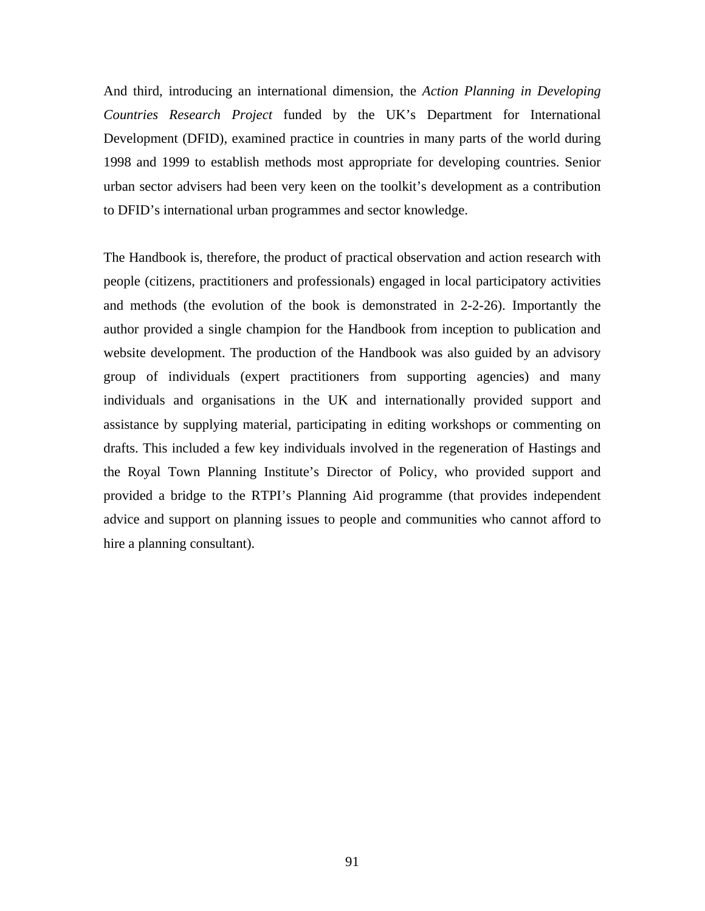And third, introducing an international dimension, the *Action Planning in Developing Countries Research Project* funded by the UK's Department for International Development (DFID), examined practice in countries in many parts of the world during 1998 and 1999 to establish methods most appropriate for developing countries. Senior urban sector advisers had been very keen on the toolkit's development as a contribution to DFID's international urban programmes and sector knowledge.

The Handbook is, therefore, the product of practical observation and action research with people (citizens, practitioners and professionals) engaged in local participatory activities and methods (the evolution of the book is demonstrated in 2-2-26). Importantly the author provided a single champion for the Handbook from inception to publication and website development. The production of the Handbook was also guided by an advisory group of individuals (expert practitioners from supporting agencies) and many individuals and organisations in the UK and internationally provided support and assistance by supplying material, participating in editing workshops or commenting on drafts. This included a few key individuals involved in the regeneration of Hastings and the Royal Town Planning Institute's Director of Policy, who provided support and provided a bridge to the RTPI's Planning Aid programme (that provides independent advice and support on planning issues to people and communities who cannot afford to hire a planning consultant).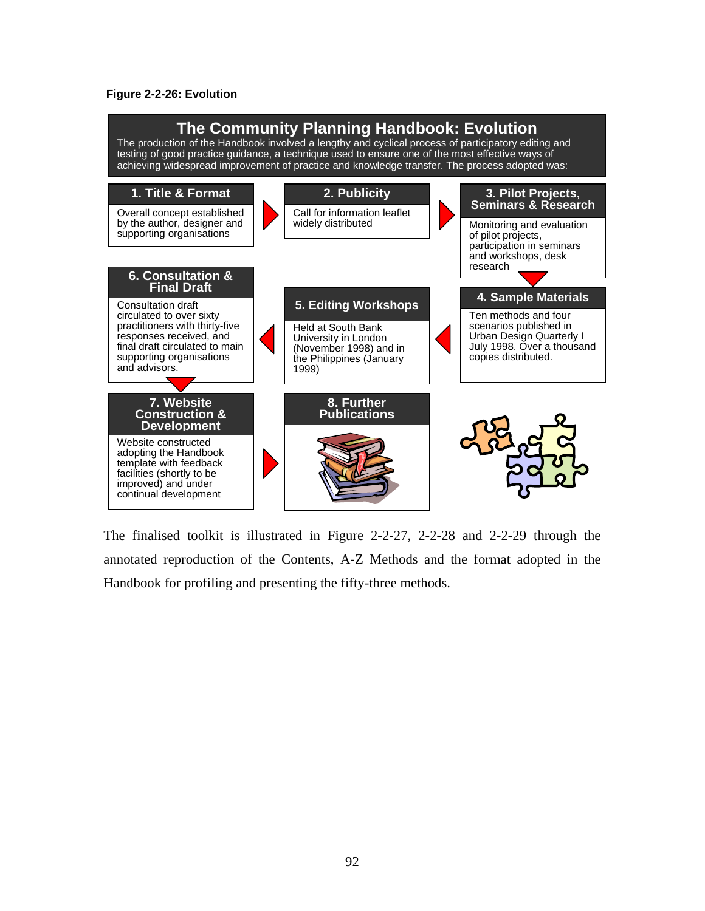#### **Figure 2-2-26: Evolution**



The finalised toolkit is illustrated in Figure 2-2-27, 2-2-28 and 2-2-29 through the annotated reproduction of the Contents, A-Z Methods and the format adopted in the Handbook for profiling and presenting the fifty-three methods.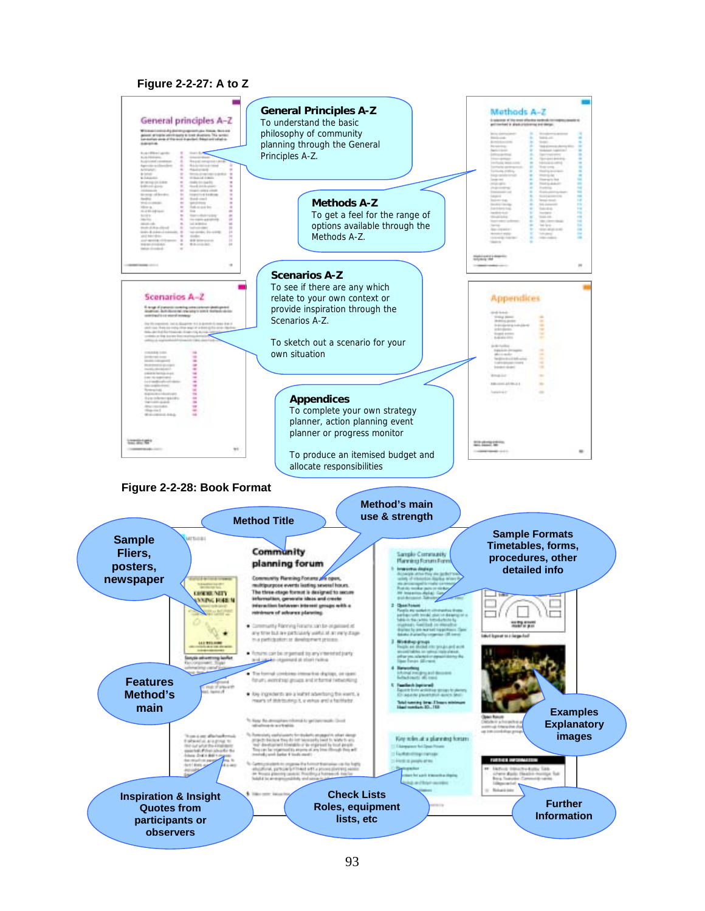#### **Figure 2-2-27: A to Z**

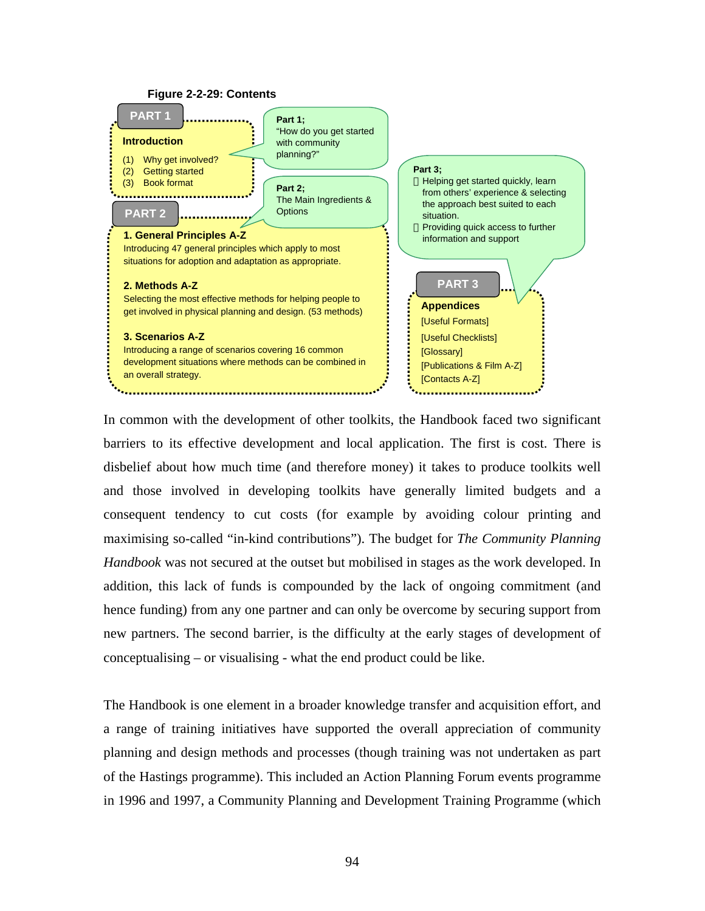

In common with the development of other toolkits, the Handbook faced two significant barriers to its effective development and local application. The first is cost. There is disbelief about how much time (and therefore money) it takes to produce toolkits well and those involved in developing toolkits have generally limited budgets and a consequent tendency to cut costs (for example by avoiding colour printing and maximising so-called "in-kind contributions"). The budget for *The Community Planning Handbook* was not secured at the outset but mobilised in stages as the work developed. In addition, this lack of funds is compounded by the lack of ongoing commitment (and hence funding) from any one partner and can only be overcome by securing support from new partners. The second barrier, is the difficulty at the early stages of development of conceptualising – or visualising - what the end product could be like.

The Handbook is one element in a broader knowledge transfer and acquisition effort, and a range of training initiatives have supported the overall appreciation of community planning and design methods and processes (though training was not undertaken as part of the Hastings programme). This included an Action Planning Forum events programme in 1996 and 1997, a Community Planning and Development Training Programme (which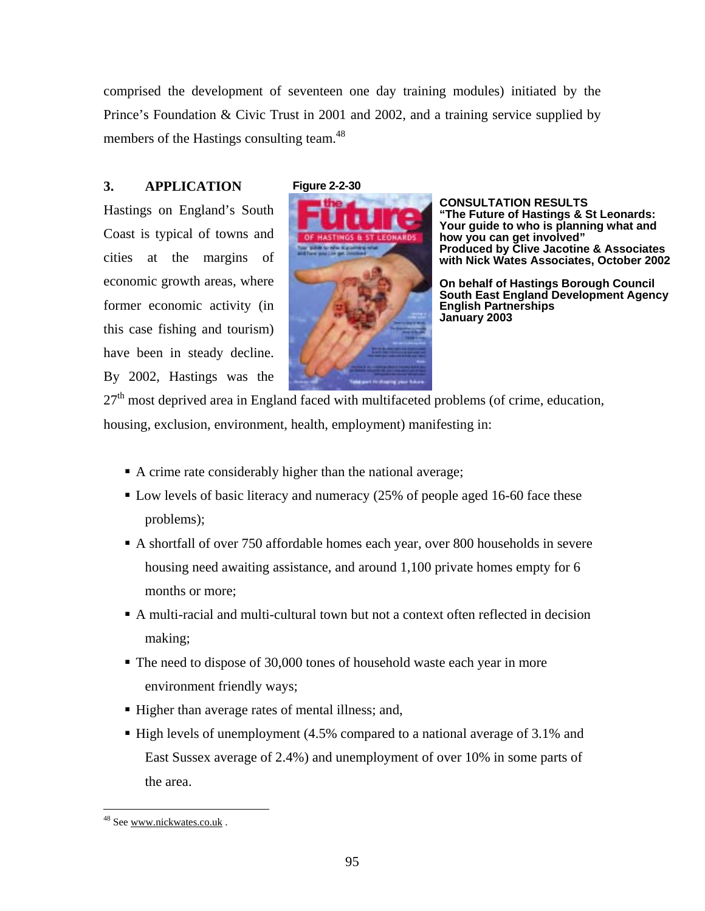comprised the development of seventeen one day training modules) initiated by the Prince's Foundation & Civic Trust in 2001 and 2002, and a training service supplied by members of the Hastings consulting team.<sup>48</sup>

# **3. APPLICATION**

Hastings on England's South Coast is typical of towns and cities at the margins of economic growth areas, where former economic activity (in this case fishing and tourism) have been in steady decline. By 2002, Hastings was the

## **Figure 2-2-30**



**CONSULTATION RESULTS "The Future of Hastings & St Leonards: Your guide to who is planning what and how you can get involved" Produced by Clive Jacotine & Associates with Nick Wates Associates, October 2002** 

**On behalf of Hastings Borough Council South East England Development Agency English Partnerships January 2003**

 $27<sup>th</sup>$  most deprived area in England faced with multifaceted problems (of crime, education, housing, exclusion, environment, health, employment) manifesting in:

- A crime rate considerably higher than the national average;
- Low levels of basic literacy and numeracy (25% of people aged 16-60 face these problems);
- A shortfall of over 750 affordable homes each year, over 800 households in severe housing need awaiting assistance, and around 1,100 private homes empty for 6 months or more;
- A multi-racial and multi-cultural town but not a context often reflected in decision making;
- The need to dispose of 30,000 tones of household waste each year in more environment friendly ways;
- Higher than average rates of mental illness; and,
- High levels of unemployment (4.5% compared to a national average of 3.1% and East Sussex average of 2.4%) and unemployment of over 10% in some parts of the area.

-

<sup>&</sup>lt;sup>48</sup> See www.nickwates.co.uk.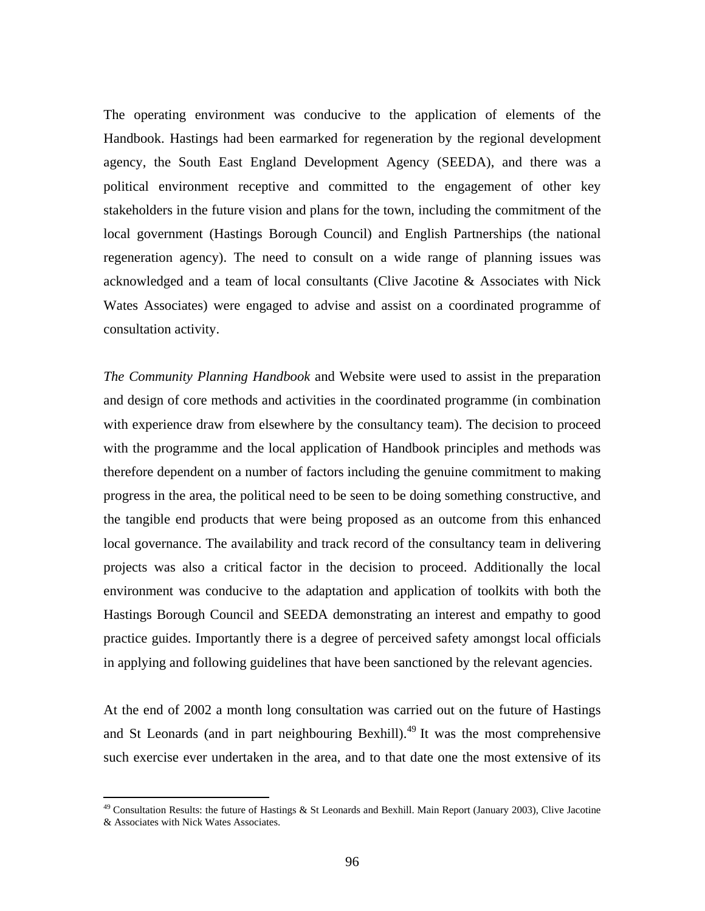The operating environment was conducive to the application of elements of the Handbook. Hastings had been earmarked for regeneration by the regional development agency, the South East England Development Agency (SEEDA), and there was a political environment receptive and committed to the engagement of other key stakeholders in the future vision and plans for the town, including the commitment of the local government (Hastings Borough Council) and English Partnerships (the national regeneration agency). The need to consult on a wide range of planning issues was acknowledged and a team of local consultants (Clive Jacotine & Associates with Nick Wates Associates) were engaged to advise and assist on a coordinated programme of consultation activity.

*The Community Planning Handbook* and Website were used to assist in the preparation and design of core methods and activities in the coordinated programme (in combination with experience draw from elsewhere by the consultancy team). The decision to proceed with the programme and the local application of Handbook principles and methods was therefore dependent on a number of factors including the genuine commitment to making progress in the area, the political need to be seen to be doing something constructive, and the tangible end products that were being proposed as an outcome from this enhanced local governance. The availability and track record of the consultancy team in delivering projects was also a critical factor in the decision to proceed. Additionally the local environment was conducive to the adaptation and application of toolkits with both the Hastings Borough Council and SEEDA demonstrating an interest and empathy to good practice guides. Importantly there is a degree of perceived safety amongst local officials in applying and following guidelines that have been sanctioned by the relevant agencies.

At the end of 2002 a month long consultation was carried out on the future of Hastings and St Leonards (and in part neighbouring Bexhill). $^{49}$  It was the most comprehensive such exercise ever undertaken in the area, and to that date one the most extensive of its

 $49$  Consultation Results: the future of Hastings & St Leonards and Bexhill. Main Report (January 2003), Clive Jacotine & Associates with Nick Wates Associates.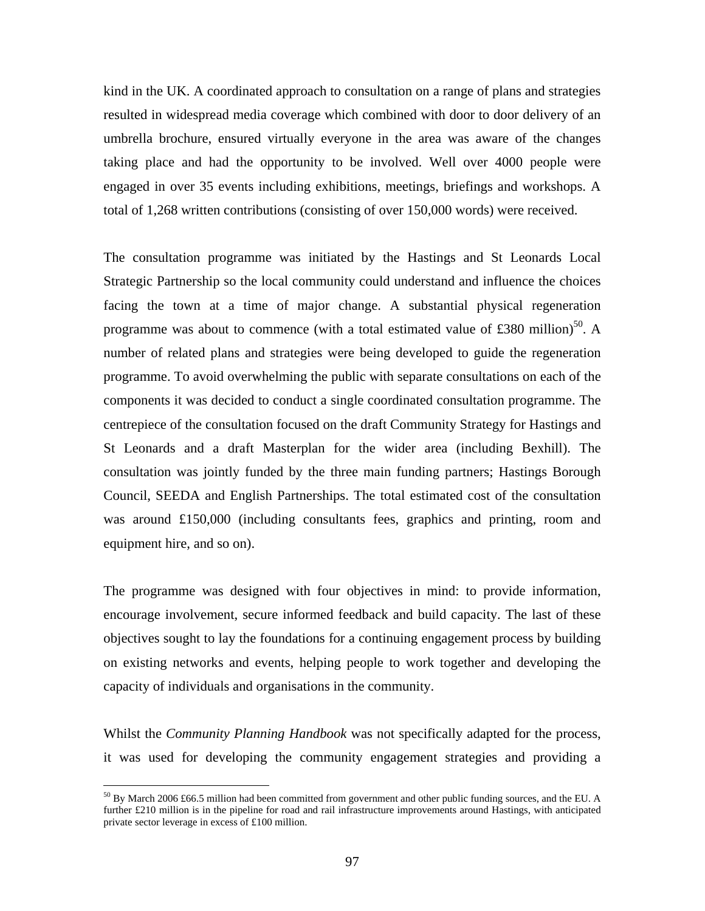kind in the UK. A coordinated approach to consultation on a range of plans and strategies resulted in widespread media coverage which combined with door to door delivery of an umbrella brochure, ensured virtually everyone in the area was aware of the changes taking place and had the opportunity to be involved. Well over 4000 people were engaged in over 35 events including exhibitions, meetings, briefings and workshops. A total of 1,268 written contributions (consisting of over 150,000 words) were received.

The consultation programme was initiated by the Hastings and St Leonards Local Strategic Partnership so the local community could understand and influence the choices facing the town at a time of major change. A substantial physical regeneration programme was about to commence (with a total estimated value of £380 million)<sup>50</sup>. A number of related plans and strategies were being developed to guide the regeneration programme. To avoid overwhelming the public with separate consultations on each of the components it was decided to conduct a single coordinated consultation programme. The centrepiece of the consultation focused on the draft Community Strategy for Hastings and St Leonards and a draft Masterplan for the wider area (including Bexhill). The consultation was jointly funded by the three main funding partners; Hastings Borough Council, SEEDA and English Partnerships. The total estimated cost of the consultation was around  $£150,000$  (including consultants fees, graphics and printing, room and equipment hire, and so on).

The programme was designed with four objectives in mind: to provide information, encourage involvement, secure informed feedback and build capacity. The last of these objectives sought to lay the foundations for a continuing engagement process by building on existing networks and events, helping people to work together and developing the capacity of individuals and organisations in the community.

Whilst the *Community Planning Handbook* was not specifically adapted for the process, it was used for developing the community engagement strategies and providing a

-

 $^{50}$  By March 2006 £66.5 million had been committed from government and other public funding sources, and the EU. A further £210 million is in the pipeline for road and rail infrastructure improvements around Hastings, with anticipated private sector leverage in excess of £100 million.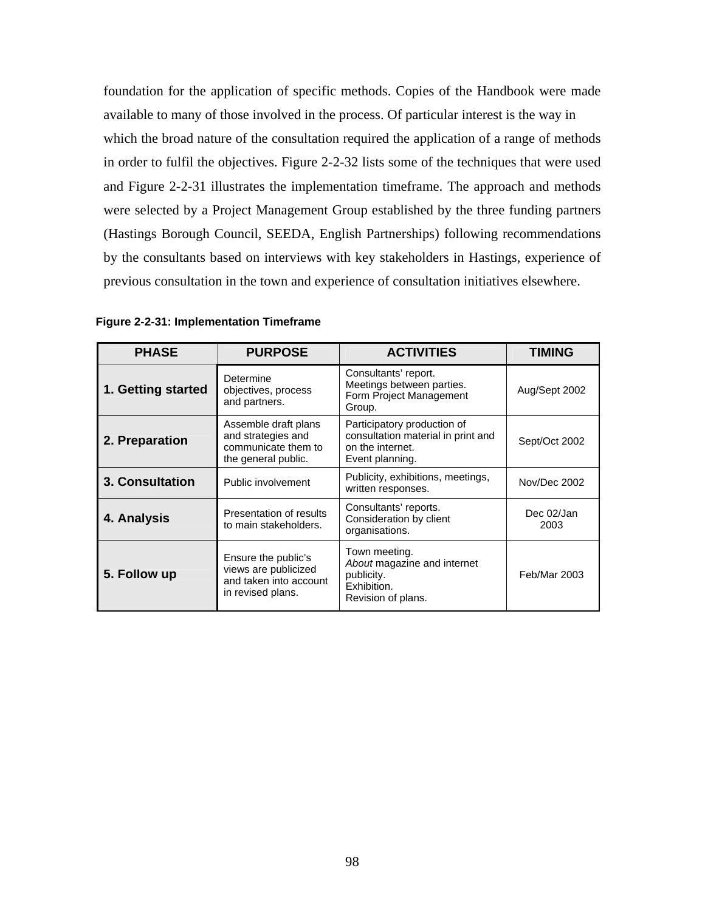foundation for the application of specific methods. Copies of the Handbook were made available to many of those involved in the process. Of particular interest is the way in which the broad nature of the consultation required the application of a range of methods in order to fulfil the objectives. Figure 2-2-32 lists some of the techniques that were used and Figure 2-2-31 illustrates the implementation timeframe. The approach and methods were selected by a Project Management Group established by the three funding partners (Hastings Borough Council, SEEDA, English Partnerships) following recommendations by the consultants based on interviews with key stakeholders in Hastings, experience of previous consultation in the town and experience of consultation initiatives elsewhere.

| <b>PHASE</b>       | <b>PURPOSE</b>                                                                             | <b>ACTIVITIES</b>                                                                                        | TIMING             |
|--------------------|--------------------------------------------------------------------------------------------|----------------------------------------------------------------------------------------------------------|--------------------|
| 1. Getting started | Determine<br>objectives, process<br>and partners.                                          | Consultants' report.<br>Meetings between parties.<br>Form Project Management<br>Group.                   | Aug/Sept 2002      |
| 2. Preparation     | Assemble draft plans<br>and strategies and<br>communicate them to<br>the general public.   | Participatory production of<br>consultation material in print and<br>on the internet.<br>Event planning. | Sept/Oct 2002      |
| 3. Consultation    | Public involvement                                                                         | Publicity, exhibitions, meetings,<br>written responses.                                                  | Nov/Dec 2002       |
| 4. Analysis        | Presentation of results<br>to main stakeholders.                                           | Consultants' reports.<br>Consideration by client<br>organisations.                                       | Dec 02/Jan<br>2003 |
| 5. Follow up       | Ensure the public's<br>views are publicized<br>and taken into account<br>in revised plans. | Town meeting.<br>About magazine and internet<br>publicity.<br>Exhibition.<br>Revision of plans.          | Feb/Mar 2003       |

**Figure 2-2-31: Implementation Timeframe**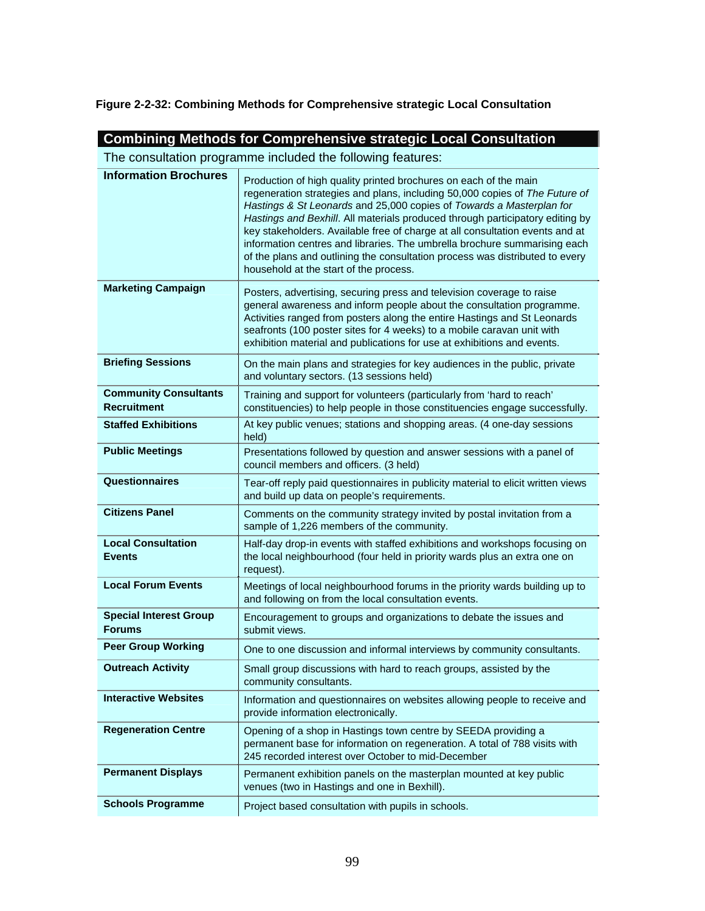**Figure 2-2-32: Combining Methods for Comprehensive strategic Local Consultation** 

| <b>Combining Methods for Comprehensive strategic Local Consultation</b> |                                                                                                                                                                                                                                                                                                                                                                                                                                                                                                                                                                                                 |  |  |
|-------------------------------------------------------------------------|-------------------------------------------------------------------------------------------------------------------------------------------------------------------------------------------------------------------------------------------------------------------------------------------------------------------------------------------------------------------------------------------------------------------------------------------------------------------------------------------------------------------------------------------------------------------------------------------------|--|--|
| The consultation programme included the following features:             |                                                                                                                                                                                                                                                                                                                                                                                                                                                                                                                                                                                                 |  |  |
| <b>Information Brochures</b>                                            | Production of high quality printed brochures on each of the main<br>regeneration strategies and plans, including 50,000 copies of The Future of<br>Hastings & St Leonards and 25,000 copies of Towards a Masterplan for<br>Hastings and Bexhill. All materials produced through participatory editing by<br>key stakeholders. Available free of charge at all consultation events and at<br>information centres and libraries. The umbrella brochure summarising each<br>of the plans and outlining the consultation process was distributed to every<br>household at the start of the process. |  |  |
| <b>Marketing Campaign</b>                                               | Posters, advertising, securing press and television coverage to raise<br>general awareness and inform people about the consultation programme.<br>Activities ranged from posters along the entire Hastings and St Leonards<br>seafronts (100 poster sites for 4 weeks) to a mobile caravan unit with<br>exhibition material and publications for use at exhibitions and events.                                                                                                                                                                                                                 |  |  |
| <b>Briefing Sessions</b>                                                | On the main plans and strategies for key audiences in the public, private<br>and voluntary sectors. (13 sessions held)                                                                                                                                                                                                                                                                                                                                                                                                                                                                          |  |  |
| <b>Community Consultants</b><br><b>Recruitment</b>                      | Training and support for volunteers (particularly from 'hard to reach'<br>constituencies) to help people in those constituencies engage successfully.                                                                                                                                                                                                                                                                                                                                                                                                                                           |  |  |
| <b>Staffed Exhibitions</b>                                              | At key public venues; stations and shopping areas. (4 one-day sessions<br>held)                                                                                                                                                                                                                                                                                                                                                                                                                                                                                                                 |  |  |
| <b>Public Meetings</b>                                                  | Presentations followed by question and answer sessions with a panel of<br>council members and officers. (3 held)                                                                                                                                                                                                                                                                                                                                                                                                                                                                                |  |  |
| <b>Questionnaires</b>                                                   | Tear-off reply paid questionnaires in publicity material to elicit written views<br>and build up data on people's requirements.                                                                                                                                                                                                                                                                                                                                                                                                                                                                 |  |  |
| <b>Citizens Panel</b>                                                   | Comments on the community strategy invited by postal invitation from a<br>sample of 1,226 members of the community.                                                                                                                                                                                                                                                                                                                                                                                                                                                                             |  |  |
| <b>Local Consultation</b><br><b>Events</b>                              | Half-day drop-in events with staffed exhibitions and workshops focusing on<br>the local neighbourhood (four held in priority wards plus an extra one on<br>request).                                                                                                                                                                                                                                                                                                                                                                                                                            |  |  |
| <b>Local Forum Events</b>                                               | Meetings of local neighbourhood forums in the priority wards building up to<br>and following on from the local consultation events.                                                                                                                                                                                                                                                                                                                                                                                                                                                             |  |  |
| <b>Special Interest Group</b><br><b>Forums</b>                          | Encouragement to groups and organizations to debate the issues and<br>submit views.                                                                                                                                                                                                                                                                                                                                                                                                                                                                                                             |  |  |
| <b>Peer Group Working</b>                                               | One to one discussion and informal interviews by community consultants.                                                                                                                                                                                                                                                                                                                                                                                                                                                                                                                         |  |  |
| <b>Outreach Activity</b>                                                | Small group discussions with hard to reach groups, assisted by the<br>community consultants.                                                                                                                                                                                                                                                                                                                                                                                                                                                                                                    |  |  |
| <b>Interactive Websites</b>                                             | Information and questionnaires on websites allowing people to receive and<br>provide information electronically.                                                                                                                                                                                                                                                                                                                                                                                                                                                                                |  |  |
| <b>Regeneration Centre</b>                                              | Opening of a shop in Hastings town centre by SEEDA providing a<br>permanent base for information on regeneration. A total of 788 visits with<br>245 recorded interest over October to mid-December                                                                                                                                                                                                                                                                                                                                                                                              |  |  |
| <b>Permanent Displays</b>                                               | Permanent exhibition panels on the masterplan mounted at key public<br>venues (two in Hastings and one in Bexhill).                                                                                                                                                                                                                                                                                                                                                                                                                                                                             |  |  |
| <b>Schools Programme</b>                                                | Project based consultation with pupils in schools.                                                                                                                                                                                                                                                                                                                                                                                                                                                                                                                                              |  |  |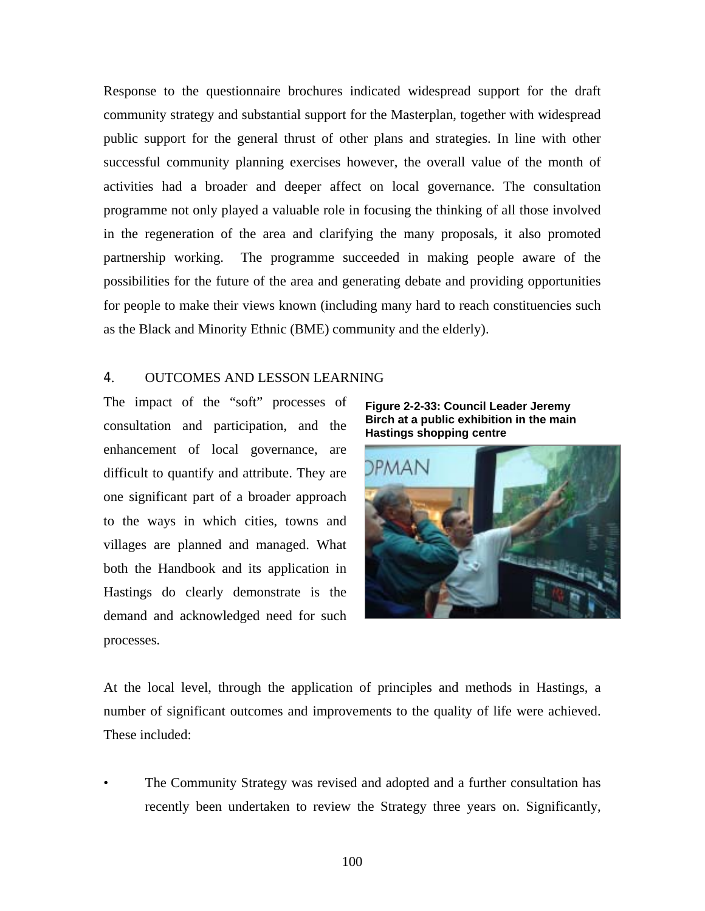Response to the questionnaire brochures indicated widespread support for the draft community strategy and substantial support for the Masterplan, together with widespread public support for the general thrust of other plans and strategies. In line with other successful community planning exercises however, the overall value of the month of activities had a broader and deeper affect on local governance. The consultation programme not only played a valuable role in focusing the thinking of all those involved in the regeneration of the area and clarifying the many proposals, it also promoted partnership working. The programme succeeded in making people aware of the possibilities for the future of the area and generating debate and providing opportunities for people to make their views known (including many hard to reach constituencies such as the Black and Minority Ethnic (BME) community and the elderly).

## 4. OUTCOMES AND LESSON LEARNING

The impact of the "soft" processes of consultation and participation, and the enhancement of local governance, are difficult to quantify and attribute. They are one significant part of a broader approach to the ways in which cities, towns and villages are planned and managed. What both the Handbook and its application in Hastings do clearly demonstrate is the demand and acknowledged need for such processes.

**Figure 2-2-33: Council Leader Jeremy Birch at a public exhibition in the main Hastings shopping centre** 



At the local level, through the application of principles and methods in Hastings, a number of significant outcomes and improvements to the quality of life were achieved. These included:

• The Community Strategy was revised and adopted and a further consultation has recently been undertaken to review the Strategy three years on. Significantly,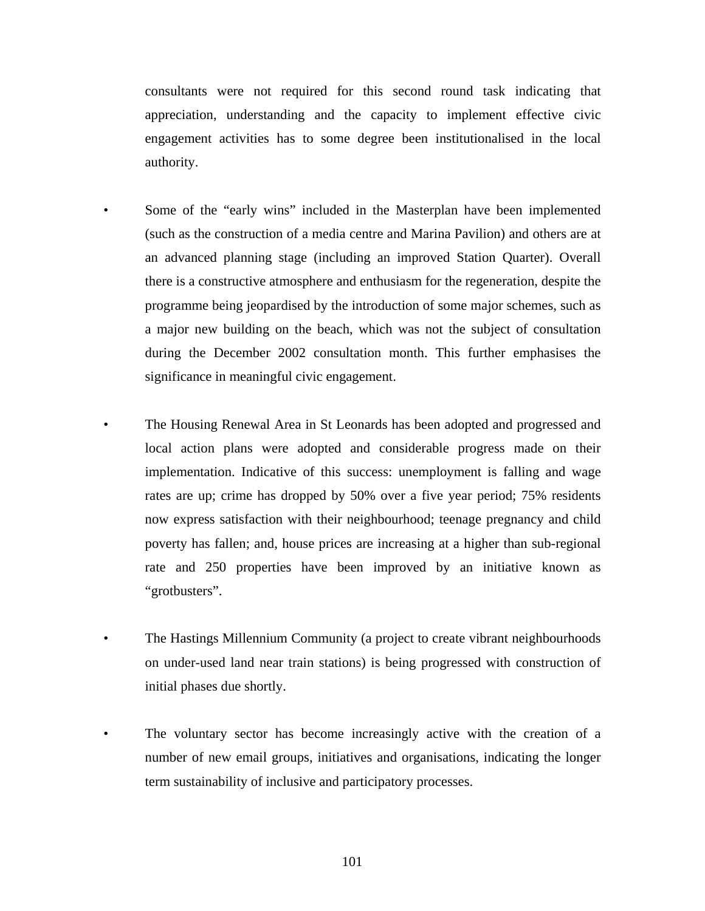consultants were not required for this second round task indicating that appreciation, understanding and the capacity to implement effective civic engagement activities has to some degree been institutionalised in the local authority.

- Some of the "early wins" included in the Masterplan have been implemented (such as the construction of a media centre and Marina Pavilion) and others are at an advanced planning stage (including an improved Station Quarter). Overall there is a constructive atmosphere and enthusiasm for the regeneration, despite the programme being jeopardised by the introduction of some major schemes, such as a major new building on the beach, which was not the subject of consultation during the December 2002 consultation month. This further emphasises the significance in meaningful civic engagement.
- The Housing Renewal Area in St Leonards has been adopted and progressed and local action plans were adopted and considerable progress made on their implementation. Indicative of this success: unemployment is falling and wage rates are up; crime has dropped by 50% over a five year period; 75% residents now express satisfaction with their neighbourhood; teenage pregnancy and child poverty has fallen; and, house prices are increasing at a higher than sub-regional rate and 250 properties have been improved by an initiative known as "grotbusters".
- The Hastings Millennium Community (a project to create vibrant neighbourhoods on under-used land near train stations) is being progressed with construction of initial phases due shortly.
- The voluntary sector has become increasingly active with the creation of a number of new email groups, initiatives and organisations, indicating the longer term sustainability of inclusive and participatory processes.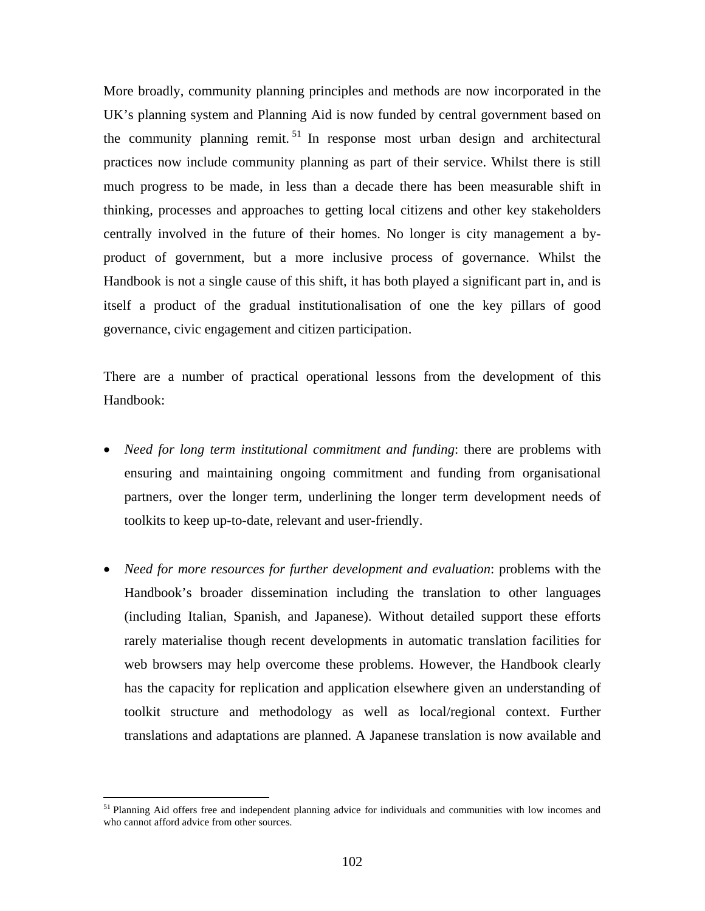More broadly, community planning principles and methods are now incorporated in the UK's planning system and Planning Aid is now funded by central government based on the community planning remit.<sup>51</sup> In response most urban design and architectural practices now include community planning as part of their service. Whilst there is still much progress to be made, in less than a decade there has been measurable shift in thinking, processes and approaches to getting local citizens and other key stakeholders centrally involved in the future of their homes. No longer is city management a byproduct of government, but a more inclusive process of governance. Whilst the Handbook is not a single cause of this shift, it has both played a significant part in, and is itself a product of the gradual institutionalisation of one the key pillars of good governance, civic engagement and citizen participation.

There are a number of practical operational lessons from the development of this Handbook:

- *Need for long term institutional commitment and funding*: there are problems with ensuring and maintaining ongoing commitment and funding from organisational partners, over the longer term, underlining the longer term development needs of toolkits to keep up-to-date, relevant and user-friendly.
- *Need for more resources for further development and evaluation*: problems with the Handbook's broader dissemination including the translation to other languages (including Italian, Spanish, and Japanese). Without detailed support these efforts rarely materialise though recent developments in automatic translation facilities for web browsers may help overcome these problems. However, the Handbook clearly has the capacity for replication and application elsewhere given an understanding of toolkit structure and methodology as well as local/regional context. Further translations and adaptations are planned. A Japanese translation is now available and

<sup>&</sup>lt;sup>51</sup> Planning Aid offers free and independent planning advice for individuals and communities with low incomes and who cannot afford advice from other sources.